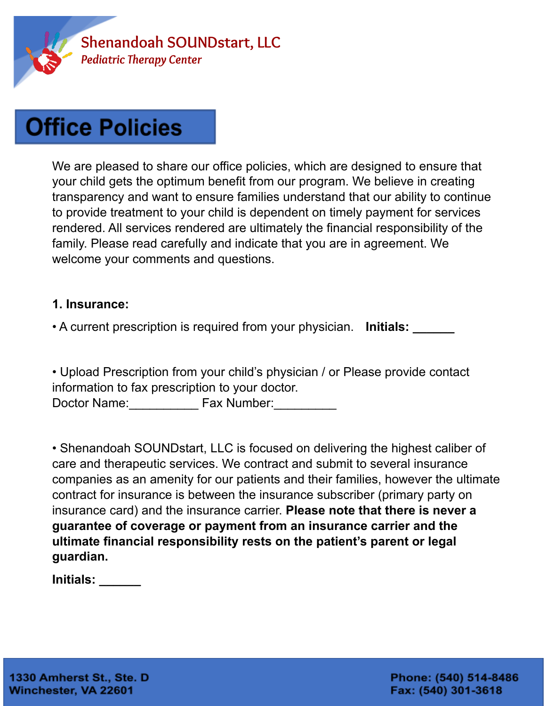

We are pleased to share our office policies, which are designed to ensure that your child gets the optimum benefit from our program. We believe in creating transparency and want to ensure families understand that our ability to continue to provide treatment to your child is dependent on timely payment for services rendered. All services rendered are ultimately the financial responsibility of the family. Please read carefully and indicate that you are in agreement. We welcome your comments and questions.

#### **1. Insurance:**

• A current prescription is required from your physician. **Initials: \_\_\_\_\_\_**

• Upload Prescription from your child's physician / or Please provide contact information to fax prescription to your doctor. Doctor Name: The Rax Number:

• Shenandoah SOUNDstart, LLC is focused on delivering the highest caliber of care and therapeutic services. We contract and submit to several insurance companies as an amenity for our patients and their families, however the ultimate contract for insurance is between the insurance subscriber (primary party on insurance card) and the insurance carrier. **Please note that there is never a guarantee of coverage or payment from an insurance carrier and the ultimate financial responsibility rests on the patient's parent or legal guardian.**

**Initials: \_\_\_\_\_\_**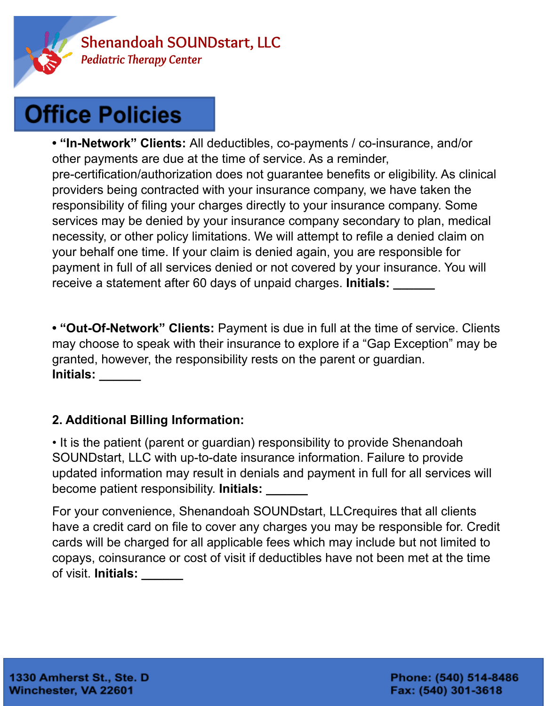

**• "In-Network" Clients:** All deductibles, co-payments / co-insurance, and/or other payments are due at the time of service. As a reminder, pre-certification/authorization does not guarantee benefits or eligibility. As clinical providers being contracted with your insurance company, we have taken the responsibility of filing your charges directly to your insurance company. Some services may be denied by your insurance company secondary to plan, medical necessity, or other policy limitations. We will attempt to refile a denied claim on your behalf one time. If your claim is denied again, you are responsible for payment in full of all services denied or not covered by your insurance. You will receive a statement after 60 days of unpaid charges. **Initials: \_\_\_\_\_\_**

**• "Out-Of-Network" Clients:** Payment is due in full at the time of service. Clients may choose to speak with their insurance to explore if a "Gap Exception" may be granted, however, the responsibility rests on the parent or guardian. **Initials: \_\_\_\_\_\_**

### **2. Additional Billing Information:**

• It is the patient (parent or guardian) responsibility to provide Shenandoah SOUNDstart, LLC with up-to-date insurance information. Failure to provide updated information may result in denials and payment in full for all services will become patient responsibility. **Initials: \_\_\_\_\_\_**

For your convenience, Shenandoah SOUNDstart, LLCrequires that all clients have a credit card on file to cover any charges you may be responsible for. Credit cards will be charged for all applicable fees which may include but not limited to copays, coinsurance or cost of visit if deductibles have not been met at the time of visit. **Initials: \_\_\_\_\_\_**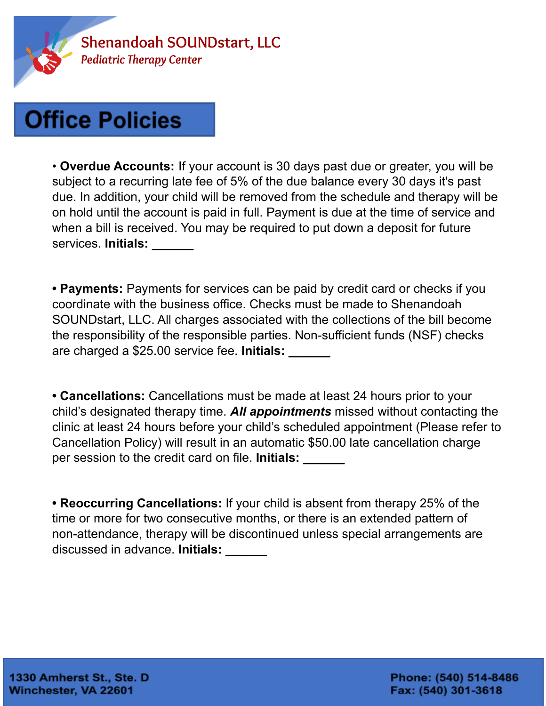

• **Overdue Accounts:** If your account is 30 days past due or greater, you will be subject to a recurring late fee of 5% of the due balance every 30 days it's past due. In addition, your child will be removed from the schedule and therapy will be on hold until the account is paid in full. Payment is due at the time of service and when a bill is received. You may be required to put down a deposit for future services. **Initials: \_\_\_\_\_\_**

**• Payments:** Payments for services can be paid by credit card or checks if you coordinate with the business office. Checks must be made to Shenandoah SOUNDstart, LLC. All charges associated with the collections of the bill become the responsibility of the responsible parties. Non-sufficient funds (NSF) checks are charged a \$25.00 service fee. **Initials: \_\_\_\_\_\_**

**• Cancellations:** Cancellations must be made at least 24 hours prior to your child's designated therapy time. *All appointments* missed without contacting the clinic at least 24 hours before your child's scheduled appointment (Please refer to Cancellation Policy) will result in an automatic \$50.00 late cancellation charge per session to the credit card on file. **Initials: \_\_\_\_\_\_**

**• Reoccurring Cancellations:** If your child is absent from therapy 25% of the time or more for two consecutive months, or there is an extended pattern of non-attendance, therapy will be discontinued unless special arrangements are discussed in advance. **Initials: \_\_\_\_\_\_**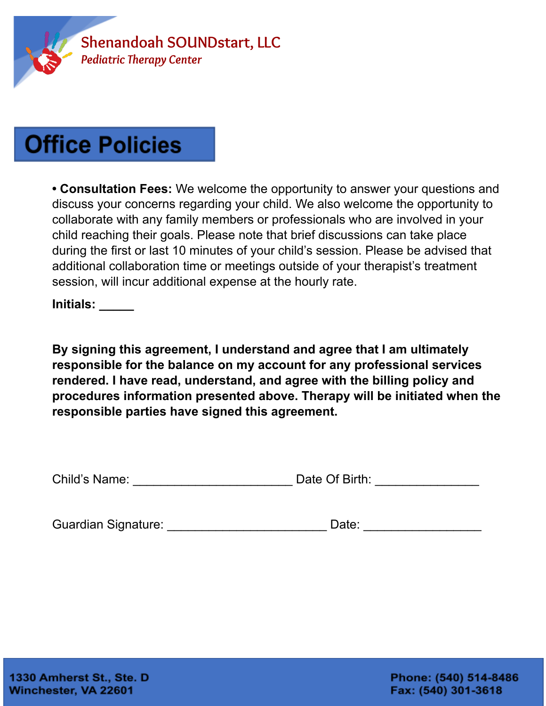

**• Consultation Fees:** We welcome the opportunity to answer your questions and discuss your concerns regarding your child. We also welcome the opportunity to collaborate with any family members or professionals who are involved in your child reaching their goals. Please note that brief discussions can take place during the first or last 10 minutes of your child's session. Please be advised that additional collaboration time or meetings outside of your therapist's treatment session, will incur additional expense at the hourly rate.

**Initials: \_\_\_\_\_**

**By signing this agreement, I understand and agree that I am ultimately responsible for the balance on my account for any professional services rendered. I have read, understand, and agree with the billing policy and procedures information presented above. Therapy will be initiated when the responsible parties have signed this agreement.**

| Child's Name: | Date Of Birth: |  |
|---------------|----------------|--|
|               |                |  |

Guardian Signature: etc. and a part of Date: the Date:  $\Box$